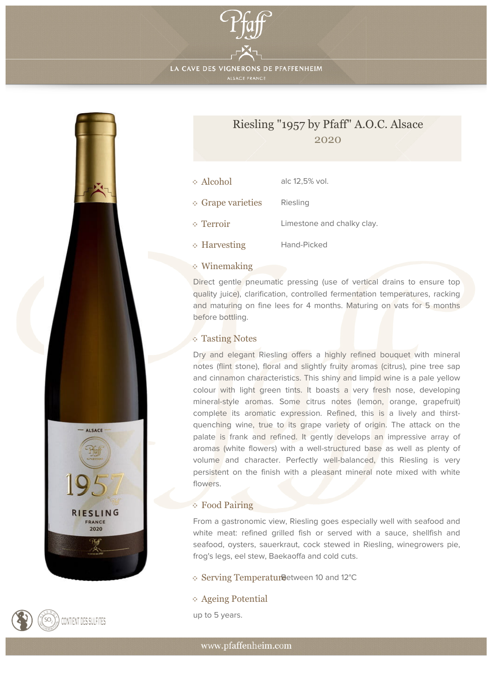

LA CAVE DES VIGNERONS DE PFAFFENHEIM





## Riesling "1957 by Pfaff" A.O.C. Alsace 2020

| Alcohol           | alc 12,5% vol.             |
|-------------------|----------------------------|
| • Grape varieties | Riesling                   |
| ⊙ Terroir         | Limestone and chalky clay. |
| • Harvesting      | Hand-Picked                |

## Winemaking

Direct gentle pneumatic pressing (use of vertical drains to ensure top quality juice), clarification, controlled fermentation temperatures, racking and maturing on fine lees for 4 months. Maturing on vats for 5 months before bottling.

## Tasting Notes

Dry and elegant Riesling offers a highly refined bouquet with mineral notes (flint stone), floral and slightly fruity aromas (citrus), pine tree sap and cinnamon characteristics. This shiny and limpid wine is a pale yellow colour with light green tints. It boasts a very fresh nose, developing mineral-style aromas. Some citrus notes (lemon, orange, grapefruit) complete its aromatic expression. Refined, this is a lively and thirstquenching wine, true to its grape variety of origin. The attack on the palate is frank and refined. It gently develops an impressive array of aromas (white flowers) with a well-structured base as well as plenty of volume and character. Perfectly well-balanced, this Riesling is very persistent on the finish with a pleasant mineral note mixed with white flowers.

## Food Pairing

From a gastronomic view, Riesling goes especially well with seafood and white meat: refined grilled fish or served with a sauce, shellfish and seafood, oysters, sauerkraut, cock stewed in Riesling, winegrowers pie, frog's legs, eel stew, Baekaoffa and cold cuts.

Serving Temperatur Between 10 and 12°C

Ageing Potential

up to 5 years.

www.pfaffenheim.com